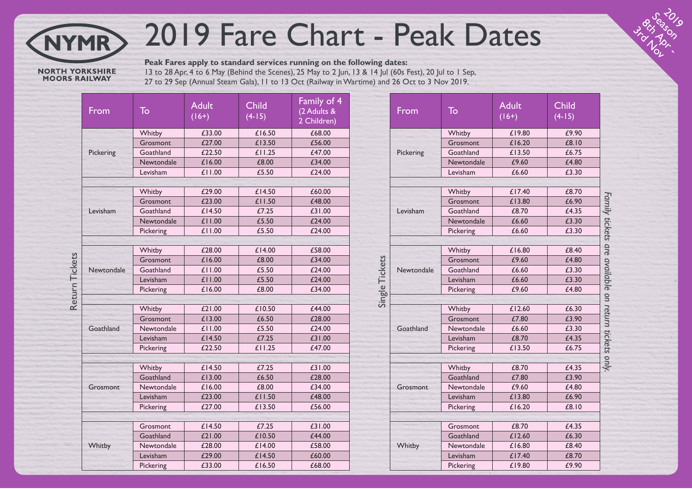## 2019 Fare Chart - Peak Dates

**NORTH YORKSHIRE**<br>MOORS RAILWAY

**NYMR** 

**Peak Fares apply to standard services running on the following dates:** 13 to 28 Apr, 4 to 6 May (Behind the Scenes), 25 May to 2 Jun, 13 & 14 Jul (60s Fest), 20 Jul to 1 Sep, 27 to 29 Sep (Annual Steam Gala), 11 to 13 Oct (Railway in Wartime) and 26 Oct to 3 Nov 2019.

|                | From       | To         | <b>Adult</b><br>$(16+)$ | <b>Child</b><br>$(4-15)$ | Family of 4<br>(2 Adults &<br>2 Children) |  |  |
|----------------|------------|------------|-------------------------|--------------------------|-------------------------------------------|--|--|
|                | Pickering  | Whitby     | £33.00                  | £16.50                   | £68.00                                    |  |  |
|                |            | Grosmont   | £27.00                  | £13.50                   | £56.00                                    |  |  |
|                |            | Goathland  | £22.50                  | £11.25                   | £47.00                                    |  |  |
|                |            | Newtondale | £16.00                  | £8.00                    | £34.00                                    |  |  |
|                |            | Levisham   | £11.00                  | £5.50                    | £24.00                                    |  |  |
|                |            |            |                         |                          |                                           |  |  |
|                |            | Whitby     | £29.00                  | £14.50                   | £60.00                                    |  |  |
|                |            | Grosmont   | £23.00                  | £11.50                   | £48.00                                    |  |  |
|                | Levisham   | Goathland  | £14.50                  | £7.25                    | £31.00                                    |  |  |
|                |            | Newtondale | £11.00                  | £5.50                    | £24.00                                    |  |  |
|                |            | Pickering  | £11.00                  | £5.50                    | £24.00                                    |  |  |
|                |            |            |                         |                          |                                           |  |  |
| Return Tickets |            | Whitby     | £28.00                  | £14.00                   | £58.00                                    |  |  |
|                |            | Grosmont   | £16.00                  | £8.00                    | £34.00                                    |  |  |
|                | Newtondale | Goathland  | £11.00                  | £5.50                    | £24.00                                    |  |  |
|                |            | Levisham   | £11.00                  | £5.50                    | £24.00                                    |  |  |
|                |            | Pickering  | £16.00                  | £8.00                    | £34.00                                    |  |  |
|                |            |            |                         |                          |                                           |  |  |
|                |            | Whitby     | £21.00                  | £10.50                   | £44.00                                    |  |  |
|                |            | Grosmont   | £13.00                  | £6.50                    | £28.00                                    |  |  |
|                | Goathland  | Newtondale | £11.00                  | £5.50                    | £24.00                                    |  |  |
|                |            | Levisham   | £14.50                  | £7.25                    | £31.00                                    |  |  |
|                |            | Pickering  | £22.50                  | £11.25                   | £47.00                                    |  |  |
|                |            |            |                         |                          |                                           |  |  |
|                | Grosmont   | Whitby     | £14.50                  | £7.25                    | £31.00                                    |  |  |
|                |            | Goathland  | £13.00                  | £6.50                    | £28.00                                    |  |  |
|                |            | Newtondale | £16.00                  | £8.00                    | £34.00                                    |  |  |
|                |            | Levisham   | £23.00                  | £11.50                   | £48.00                                    |  |  |
|                |            | Pickering  | £27.00                  | £13.50                   | £56.00                                    |  |  |
|                |            |            |                         |                          |                                           |  |  |
|                |            | Grosmont   | £14.50                  | £7.25                    | £31.00                                    |  |  |
|                |            | Goathland  | £21.00                  | £10.50                   | £44.00                                    |  |  |
|                | Whitby     | Newtondale | £28.00                  | £14.00                   | £58.00                                    |  |  |
|                |            | Levisham   | £29.00                  | £14.50                   | £60.00                                    |  |  |
|                |            | Pickering  | £33.00                  | £16.50                   | £68.00                                    |  |  |

|                | From                        | To                    | <b>Adult</b><br>$(16+)$ | <b>Child</b><br>$(4-15)$ |                                                     |  |  |
|----------------|-----------------------------|-----------------------|-------------------------|--------------------------|-----------------------------------------------------|--|--|
|                | Pickering                   | Whitby                | £19.80                  | £9.90                    |                                                     |  |  |
|                |                             | Grosmont              | £16.20                  | £8.10                    |                                                     |  |  |
|                |                             | Goathland             | £13.50                  | £6.75                    |                                                     |  |  |
|                |                             | Newtondale            | £9.60                   | £4.80                    |                                                     |  |  |
|                |                             | Levisham              | £6.60                   | £3.30                    |                                                     |  |  |
|                |                             |                       |                         |                          |                                                     |  |  |
|                | Levisham                    | Whitby                | £17.40                  | £8.70                    |                                                     |  |  |
|                |                             | Grosmont              | £13.80                  | £6.90                    |                                                     |  |  |
|                |                             | Goathland             | £8.70                   | £4.35                    |                                                     |  |  |
|                |                             | Newtondale            | £6.60                   | £3.30                    |                                                     |  |  |
|                |                             | Pickering             | £6.60                   | £3.30                    |                                                     |  |  |
|                |                             |                       |                         |                          |                                                     |  |  |
|                |                             | Whitby                | £16.80<br>£9.60         | £8.40<br>£4.80           |                                                     |  |  |
|                | Newtondale                  | Grosmont<br>Goathland | £6.60                   |                          |                                                     |  |  |
|                |                             | Levisham              | £6.60                   | £3.30<br>£3.30           |                                                     |  |  |
|                |                             |                       |                         |                          |                                                     |  |  |
| Single Tickets | £9.60<br>£4.80<br>Pickering |                       |                         |                          |                                                     |  |  |
|                | Goathland                   | Whitby                | £12.60                  | £6.30                    | Family tickets are available on return tickets only |  |  |
|                |                             | Grosmont              | £7.80                   | £3.90                    |                                                     |  |  |
|                |                             | Newtondale            | £6.60                   | £3.30                    |                                                     |  |  |
|                |                             | Levisham              | £8.70                   | £4.35                    |                                                     |  |  |
|                |                             | Pickering             | £13.50                  | £6.75                    |                                                     |  |  |
|                |                             |                       |                         |                          |                                                     |  |  |
|                | Grosmont                    | Whitby                | £8.70                   | £4.35                    |                                                     |  |  |
|                |                             | Goathland             | £7.80                   | £3.90                    |                                                     |  |  |
|                |                             | Newtondale            | £9.60                   | £4.80                    |                                                     |  |  |
|                |                             | Levisham              | £13.80                  | £6.90                    |                                                     |  |  |
|                |                             | Pickering             | £16.20                  | £8.10                    |                                                     |  |  |
|                |                             |                       |                         |                          |                                                     |  |  |
|                |                             | Grosmont              | £8.70                   | £4.35                    |                                                     |  |  |
|                |                             | Goathland             | £12.60                  | £6.30                    |                                                     |  |  |
|                | Whitby                      | Newtondale            | £16.80                  | £8.40                    |                                                     |  |  |
|                |                             | Levisham              | £17.40                  | £8.70                    |                                                     |  |  |
|                |                             | Pickering             | £19.80                  | £9.90                    |                                                     |  |  |

**Burney River** Season

3rd Nov